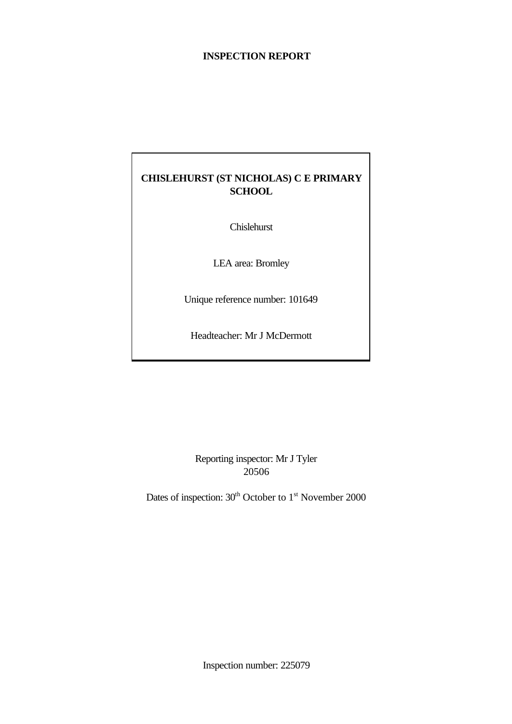# **INSPECTION REPORT**

# **CHISLEHURST (ST NICHOLAS) C E PRIMARY SCHOOL**

Chislehurst

LEA area: Bromley

Unique reference number: 101649

Headteacher: Mr J McDermott

Reporting inspector: Mr J Tyler 20506

Dates of inspection:  $30<sup>th</sup>$  October to 1<sup>st</sup> November 2000

Inspection number: 225079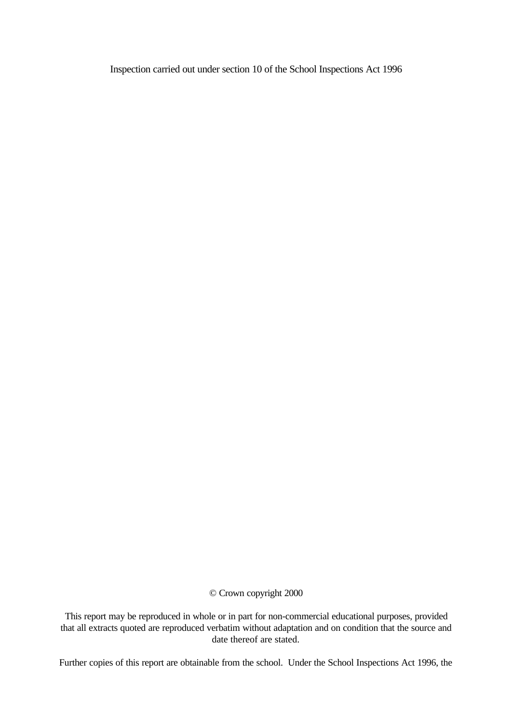Inspection carried out under section 10 of the School Inspections Act 1996

© Crown copyright 2000

This report may be reproduced in whole or in part for non-commercial educational purposes, provided that all extracts quoted are reproduced verbatim without adaptation and on condition that the source and date thereof are stated.

Further copies of this report are obtainable from the school. Under the School Inspections Act 1996, the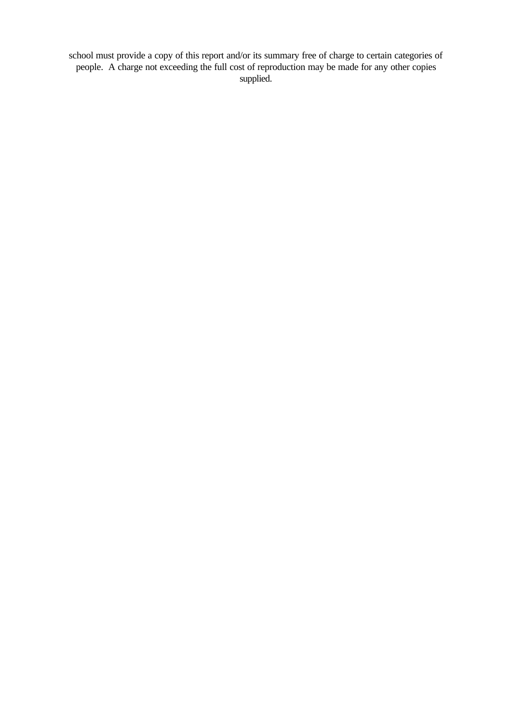school must provide a copy of this report and/or its summary free of charge to certain categories of people. A charge not exceeding the full cost of reproduction may be made for any other copies supplied.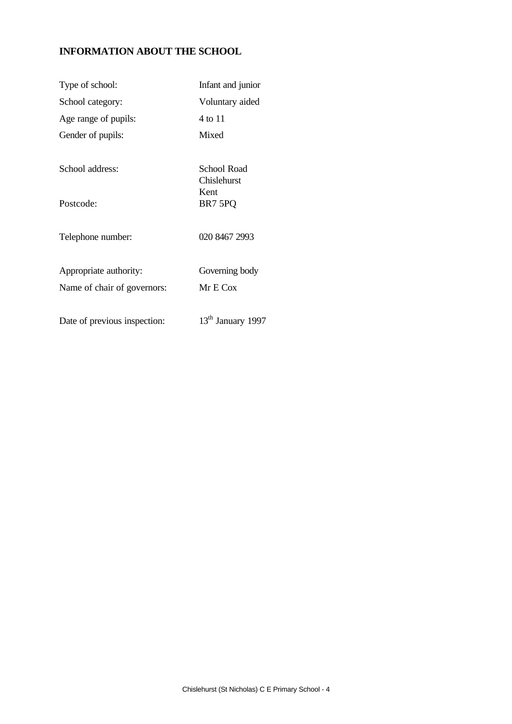# **INFORMATION ABOUT THE SCHOOL**

| Type of school:                                       | Infant and junior                             |
|-------------------------------------------------------|-----------------------------------------------|
| School category:                                      | Voluntary aided                               |
| Age range of pupils:                                  | 4 to 11                                       |
| Gender of pupils:                                     | Mixed                                         |
| School address:<br>Postcode:                          | School Road<br>Chislehurst<br>Kent<br>BR7 5PQ |
| Telephone number:                                     | 020 8467 2993                                 |
| Appropriate authority:<br>Name of chair of governors: | Governing body<br>Mr E Cox                    |
| Date of previous inspection:                          | 13 <sup>th</sup> January 1997                 |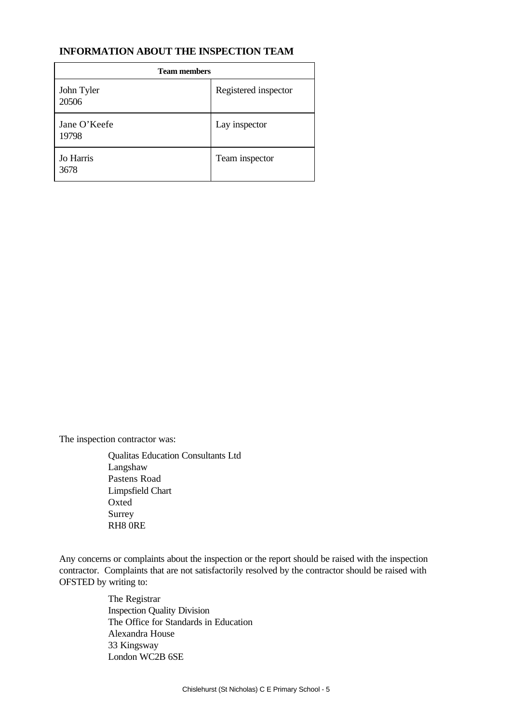# **INFORMATION ABOUT THE INSPECTION TEAM**

| <b>Team members</b>   |                      |  |  |
|-----------------------|----------------------|--|--|
| John Tyler<br>20506   | Registered inspector |  |  |
| Jane O'Keefe<br>19798 | Lay inspector        |  |  |
| Jo Harris<br>3678     | Team inspector       |  |  |

The inspection contractor was:

Qualitas Education Consultants Ltd Langshaw Pastens Road Limpsfield Chart Oxted Surrey RH8 0RE

Any concerns or complaints about the inspection or the report should be raised with the inspection contractor. Complaints that are not satisfactorily resolved by the contractor should be raised with OFSTED by writing to:

> The Registrar Inspection Quality Division The Office for Standards in Education Alexandra House 33 Kingsway London WC2B 6SE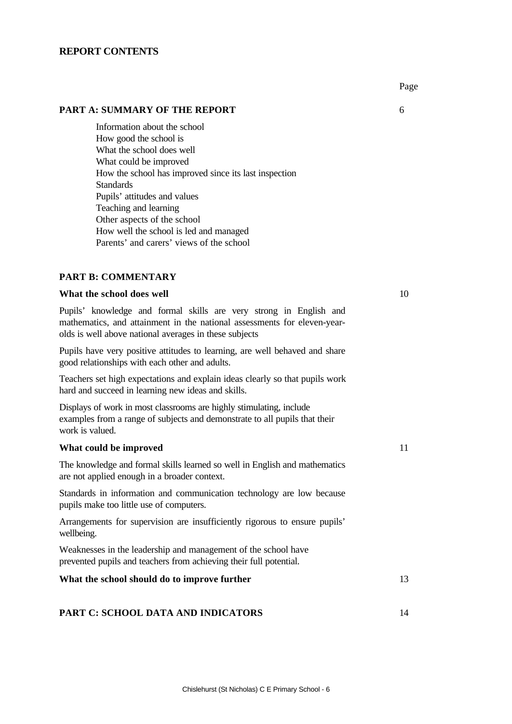### **REPORT CONTENTS**

Information about the school How good the school is What the school does well What could be improved How the school has improved since its last inspection **Standards** Pupils' attitudes and values Teaching and learning Other aspects of the school How well the school is led and managed Parents' and carers' views of the school

### **PART B: COMMENTARY**

# **What the school does well**  $10$

Pupils' knowledge and formal skills are very strong in English and mathematics, and attainment in the national assessments for eleven-yearolds is well above national averages in these subjects

Pupils have very positive attitudes to learning, are well behaved and share good relationships with each other and adults.

Teachers set high expectations and explain ideas clearly so that pupils work hard and succeed in learning new ideas and skills.

Displays of work in most classrooms are highly stimulating, include examples from a range of subjects and demonstrate to all pupils that their work is valued.

#### **What could be improved** 11

The knowledge and formal skills learned so well in English and mathematics are not applied enough in a broader context.

Standards in information and communication technology are low because pupils make too little use of computers.

Arrangements for supervision are insufficiently rigorous to ensure pupils' wellbeing.

Weaknesses in the leadership and management of the school have prevented pupils and teachers from achieving their full potential.

# **What the school should do to improve further** 13

#### **PART C: SCHOOL DATA AND INDICATORS** 14

Page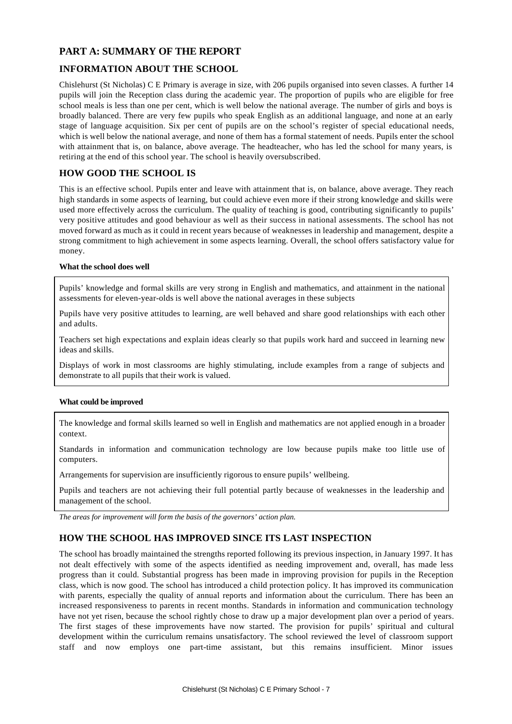# **PART A: SUMMARY OF THE REPORT**

# **INFORMATION ABOUT THE SCHOOL**

Chislehurst (St Nicholas) C E Primary is average in size, with 206 pupils organised into seven classes. A further 14 pupils will join the Reception class during the academic year. The proportion of pupils who are eligible for free school meals is less than one per cent, which is well below the national average. The number of girls and boys is broadly balanced. There are very few pupils who speak English as an additional language, and none at an early stage of language acquisition. Six per cent of pupils are on the school's register of special educational needs, which is well below the national average, and none of them has a formal statement of needs. Pupils enter the school with attainment that is, on balance, above average. The headteacher, who has led the school for many years, is retiring at the end of this school year. The school is heavily oversubscribed.

# **HOW GOOD THE SCHOOL IS**

This is an effective school. Pupils enter and leave with attainment that is, on balance, above average. They reach high standards in some aspects of learning, but could achieve even more if their strong knowledge and skills were used more effectively across the curriculum. The quality of teaching is good, contributing significantly to pupils' very positive attitudes and good behaviour as well as their success in national assessments. The school has not moved forward as much as it could in recent years because of weaknesses in leadership and management, despite a strong commitment to high achievement in some aspects learning. Overall, the school offers satisfactory value for money.

#### **What the school does well**

Pupils' knowledge and formal skills are very strong in English and mathematics, and attainment in the national assessments for eleven-year-olds is well above the national averages in these subjects

Pupils have very positive attitudes to learning, are well behaved and share good relationships with each other and adults.

Teachers set high expectations and explain ideas clearly so that pupils work hard and succeed in learning new ideas and skills.

Displays of work in most classrooms are highly stimulating, include examples from a range of subjects and demonstrate to all pupils that their work is valued.

#### **What could be improved**

The knowledge and formal skills learned so well in English and mathematics are not applied enough in a broader context.

Standards in information and communication technology are low because pupils make too little use of computers.

Arrangements for supervision are insufficiently rigorous to ensure pupils' wellbeing.

Pupils and teachers are not achieving their full potential partly because of weaknesses in the leadership and management of the school.

*The areas for improvement will form the basis of the governors' action plan.*

# **HOW THE SCHOOL HAS IMPROVED SINCE ITS LAST INSPECTION**

The school has broadly maintained the strengths reported following its previous inspection, in January 1997. It has not dealt effectively with some of the aspects identified as needing improvement and, overall, has made less progress than it could. Substantial progress has been made in improving provision for pupils in the Reception class, which is now good. The school has introduced a child protection policy. It has improved its communication with parents, especially the quality of annual reports and information about the curriculum. There has been an increased responsiveness to parents in recent months. Standards in information and communication technology have not yet risen, because the school rightly chose to draw up a major development plan over a period of years. The first stages of these improvements have now started. The provision for pupils' spiritual and cultural development within the curriculum remains unsatisfactory. The school reviewed the level of classroom support staff and now employs one part-time assistant, but this remains insufficient. Minor issues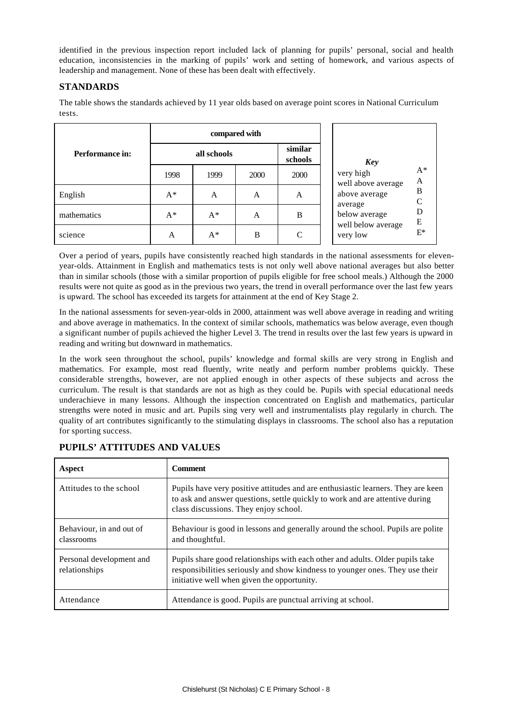identified in the previous inspection report included lack of planning for pupils' personal, social and health education, inconsistencies in the marking of pupils' work and setting of homework, and various aspects of leadership and management. None of these has been dealt with effectively.

# **STANDARDS**

The table shows the standards achieved by 11 year olds based on average point scores in National Curriculum tests.

|                 | compared with |       |      |                    |                                                 |
|-----------------|---------------|-------|------|--------------------|-------------------------------------------------|
| Performance in: | all schools   |       |      | similar<br>schools | Key                                             |
|                 | 1998          | 1999  | 2000 | 2000               | $A^*$<br>very high<br>A<br>well above average   |
| English         | $A^*$         | A     | A    | A                  | $\, {\bf B}$<br>above average<br>$\overline{C}$ |
| mathematics     | $A^*$         | $A^*$ | A    | B                  | average<br>D<br>below average<br>${\bf E}$      |
| science         | A             | $A^*$ | B    | $\mathsf{C}$       | well below average<br>$E^*$<br>very low         |

Over a period of years, pupils have consistently reached high standards in the national assessments for elevenyear-olds. Attainment in English and mathematics tests is not only well above national averages but also better than in similar schools (those with a similar proportion of pupils eligible for free school meals.) Although the 2000 results were not quite as good as in the previous two years, the trend in overall performance over the last few years is upward. The school has exceeded its targets for attainment at the end of Key Stage 2.

In the national assessments for seven-year-olds in 2000, attainment was well above average in reading and writing and above average in mathematics. In the context of similar schools, mathematics was below average, even though a significant number of pupils achieved the higher Level 3. The trend in results over the last few years is upward in reading and writing but downward in mathematics.

In the work seen throughout the school, pupils' knowledge and formal skills are very strong in English and mathematics. For example, most read fluently, write neatly and perform number problems quickly. These considerable strengths, however, are not applied enough in other aspects of these subjects and across the curriculum. The result is that standards are not as high as they could be. Pupils with special educational needs underachieve in many lessons. Although the inspection concentrated on English and mathematics, particular strengths were noted in music and art. Pupils sing very well and instrumentalists play regularly in church. The quality of art contributes significantly to the stimulating displays in classrooms. The school also has a reputation for sporting success.

| Aspect                                    | <b>Comment</b>                                                                                                                                                                                               |
|-------------------------------------------|--------------------------------------------------------------------------------------------------------------------------------------------------------------------------------------------------------------|
| Attitudes to the school                   | Pupils have very positive attitudes and are enthusiastic learners. They are keen<br>to ask and answer questions, settle quickly to work and are attentive during<br>class discussions. They enjoy school.    |
| Behaviour, in and out of<br>classrooms    | Behaviour is good in lessons and generally around the school. Pupils are polite<br>and thoughtful.                                                                                                           |
| Personal development and<br>relationships | Pupils share good relationships with each other and adults. Older pupils take<br>responsibilities seriously and show kindness to younger ones. They use their<br>initiative well when given the opportunity. |
| Attendance                                | Attendance is good. Pupils are punctual arriving at school.                                                                                                                                                  |

# **PUPILS' ATTITUDES AND VALUES**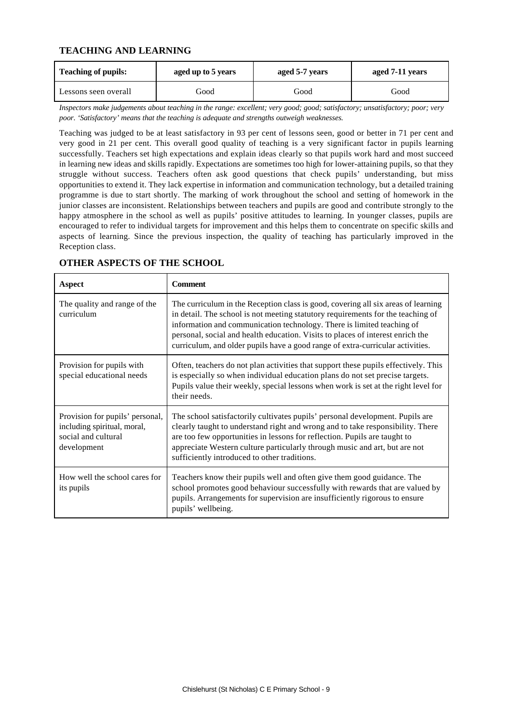# **TEACHING AND LEARNING**

| <b>Teaching of pupils:</b> | aged up to 5 years | aged 5-7 years | aged 7-11 years |  |
|----------------------------|--------------------|----------------|-----------------|--|
| Lessons seen overall       | Good               | Good           | Good            |  |

*Inspectors make judgements about teaching in the range: excellent; very good; good; satisfactory; unsatisfactory; poor; very poor. 'Satisfactory' means that the teaching is adequate and strengths outweigh weaknesses.*

Teaching was judged to be at least satisfactory in 93 per cent of lessons seen, good or better in 71 per cent and very good in 21 per cent. This overall good quality of teaching is a very significant factor in pupils learning successfully. Teachers set high expectations and explain ideas clearly so that pupils work hard and most succeed in learning new ideas and skills rapidly. Expectations are sometimes too high for lower-attaining pupils, so that they struggle without success. Teachers often ask good questions that check pupils' understanding, but miss opportunities to extend it. They lack expertise in information and communication technology, but a detailed training programme is due to start shortly. The marking of work throughout the school and setting of homework in the junior classes are inconsistent. Relationships between teachers and pupils are good and contribute strongly to the happy atmosphere in the school as well as pupils' positive attitudes to learning. In younger classes, pupils are encouraged to refer to individual targets for improvement and this helps them to concentrate on specific skills and aspects of learning. Since the previous inspection, the quality of teaching has particularly improved in the Reception class.

| Aspect                                                                                               | <b>Comment</b>                                                                                                                                                                                                                                                                                                                                                                                                     |
|------------------------------------------------------------------------------------------------------|--------------------------------------------------------------------------------------------------------------------------------------------------------------------------------------------------------------------------------------------------------------------------------------------------------------------------------------------------------------------------------------------------------------------|
| The quality and range of the<br>curriculum                                                           | The curriculum in the Reception class is good, covering all six areas of learning<br>in detail. The school is not meeting statutory requirements for the teaching of<br>information and communication technology. There is limited teaching of<br>personal, social and health education. Visits to places of interest enrich the<br>curriculum, and older pupils have a good range of extra-curricular activities. |
| Provision for pupils with<br>special educational needs                                               | Often, teachers do not plan activities that support these pupils effectively. This<br>is especially so when individual education plans do not set precise targets.<br>Pupils value their weekly, special lessons when work is set at the right level for<br>their needs.                                                                                                                                           |
| Provision for pupils' personal,<br>including spiritual, moral,<br>social and cultural<br>development | The school satisfactorily cultivates pupils' personal development. Pupils are<br>clearly taught to understand right and wrong and to take responsibility. There<br>are too few opportunities in lessons for reflection. Pupils are taught to<br>appreciate Western culture particularly through music and art, but are not<br>sufficiently introduced to other traditions.                                         |
| How well the school cares for<br>its pupils                                                          | Teachers know their pupils well and often give them good guidance. The<br>school promotes good behaviour successfully with rewards that are valued by<br>pupils. Arrangements for supervision are insufficiently rigorous to ensure<br>pupils' wellbeing.                                                                                                                                                          |

# **OTHER ASPECTS OF THE SCHOOL**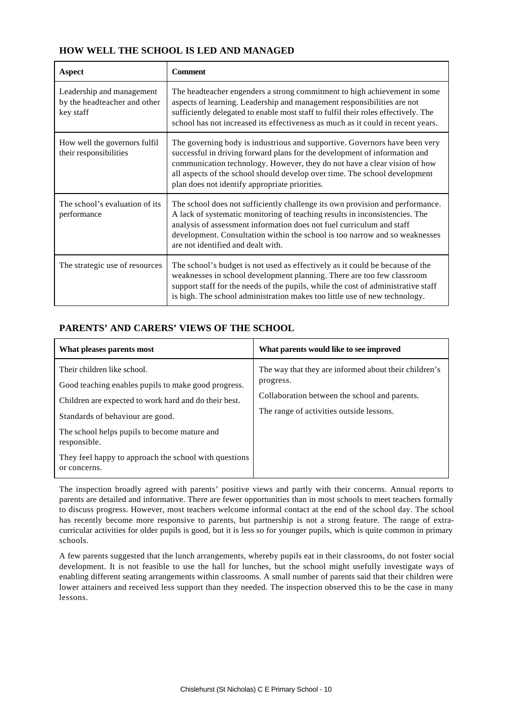# **HOW WELL THE SCHOOL IS LED AND MANAGED**

| Aspect                                                                 | <b>Comment</b>                                                                                                                                                                                                                                                                                                                                                        |
|------------------------------------------------------------------------|-----------------------------------------------------------------------------------------------------------------------------------------------------------------------------------------------------------------------------------------------------------------------------------------------------------------------------------------------------------------------|
| Leadership and management<br>by the headteacher and other<br>key staff | The headteacher engenders a strong commitment to high achievement in some<br>aspects of learning. Leadership and management responsibilities are not<br>sufficiently delegated to enable most staff to fulfil their roles effectively. The<br>school has not increased its effectiveness as much as it could in recent years.                                         |
| How well the governors fulfil<br>their responsibilities                | The governing body is industrious and supportive. Governors have been very<br>successful in driving forward plans for the development of information and<br>communication technology. However, they do not have a clear vision of how<br>all aspects of the school should develop over time. The school development<br>plan does not identify appropriate priorities. |
| The school's evaluation of its<br>performance                          | The school does not sufficiently challenge its own provision and performance.<br>A lack of systematic monitoring of teaching results in inconsistencies. The<br>analysis of assessment information does not fuel curriculum and staff<br>development. Consultation within the school is too narrow and so weaknesses<br>are not identified and dealt with.            |
| The strategic use of resources                                         | The school's budget is not used as effectively as it could be because of the<br>weaknesses in school development planning. There are too few classroom<br>support staff for the needs of the pupils, while the cost of administrative staff<br>is high. The school administration makes too little use of new technology.                                             |

# **PARENTS' AND CARERS' VIEWS OF THE SCHOOL**

| What pleases parents most                                                                                                                                                                                                                                                                                                | What parents would like to see improved                                                                                                                         |
|--------------------------------------------------------------------------------------------------------------------------------------------------------------------------------------------------------------------------------------------------------------------------------------------------------------------------|-----------------------------------------------------------------------------------------------------------------------------------------------------------------|
| Their children like school.<br>Good teaching enables pupils to make good progress.<br>Children are expected to work hard and do their best.<br>Standards of behaviour are good.<br>The school helps pupils to become mature and<br>responsible.<br>They feel happy to approach the school with questions<br>or concerns. | The way that they are informed about their children's<br>progress.<br>Collaboration between the school and parents.<br>The range of activities outside lessons. |

The inspection broadly agreed with parents' positive views and partly with their concerns. Annual reports to parents are detailed and informative. There are fewer opportunities than in most schools to meet teachers formally to discuss progress. However, most teachers welcome informal contact at the end of the school day. The school has recently become more responsive to parents, but partnership is not a strong feature. The range of extracurricular activities for older pupils is good, but it is less so for younger pupils, which is quite common in primary schools.

A few parents suggested that the lunch arrangements, whereby pupils eat in their classrooms, do not foster social development. It is not feasible to use the hall for lunches, but the school might usefully investigate ways of enabling different seating arrangements within classrooms. A small number of parents said that their children were lower attainers and received less support than they needed. The inspection observed this to be the case in many lessons.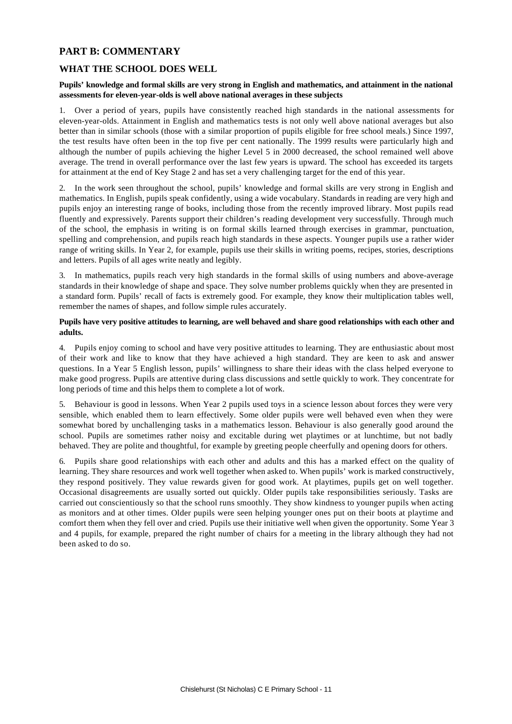# **PART B: COMMENTARY**

# **WHAT THE SCHOOL DOES WELL**

#### **Pupils' knowledge and formal skills are very strong in English and mathematics, and attainment in the national assessments for eleven-year-olds is well above national averages in these subjects**

1. Over a period of years, pupils have consistently reached high standards in the national assessments for eleven-year-olds. Attainment in English and mathematics tests is not only well above national averages but also better than in similar schools (those with a similar proportion of pupils eligible for free school meals.) Since 1997, the test results have often been in the top five per cent nationally. The 1999 results were particularly high and although the number of pupils achieving the higher Level 5 in 2000 decreased, the school remained well above average. The trend in overall performance over the last few years is upward. The school has exceeded its targets for attainment at the end of Key Stage 2 and has set a very challenging target for the end of this year.

2. In the work seen throughout the school, pupils' knowledge and formal skills are very strong in English and mathematics. In English, pupils speak confidently, using a wide vocabulary. Standards in reading are very high and pupils enjoy an interesting range of books, including those from the recently improved library. Most pupils read fluently and expressively. Parents support their children's reading development very successfully. Through much of the school, the emphasis in writing is on formal skills learned through exercises in grammar, punctuation, spelling and comprehension, and pupils reach high standards in these aspects. Younger pupils use a rather wider range of writing skills. In Year 2, for example, pupils use their skills in writing poems, recipes, stories, descriptions and letters. Pupils of all ages write neatly and legibly.

3. In mathematics, pupils reach very high standards in the formal skills of using numbers and above-average standards in their knowledge of shape and space. They solve number problems quickly when they are presented in a standard form. Pupils' recall of facts is extremely good. For example, they know their multiplication tables well, remember the names of shapes, and follow simple rules accurately.

#### **Pupils have very positive attitudes to learning, are well behaved and share good relationships with each other and adults.**

4. Pupils enjoy coming to school and have very positive attitudes to learning. They are enthusiastic about most of their work and like to know that they have achieved a high standard. They are keen to ask and answer questions. In a Year 5 English lesson, pupils' willingness to share their ideas with the class helped everyone to make good progress. Pupils are attentive during class discussions and settle quickly to work. They concentrate for long periods of time and this helps them to complete a lot of work.

5. Behaviour is good in lessons. When Year 2 pupils used toys in a science lesson about forces they were very sensible, which enabled them to learn effectively. Some older pupils were well behaved even when they were somewhat bored by unchallenging tasks in a mathematics lesson. Behaviour is also generally good around the school. Pupils are sometimes rather noisy and excitable during wet playtimes or at lunchtime, but not badly behaved. They are polite and thoughtful, for example by greeting people cheerfully and opening doors for others.

6. Pupils share good relationships with each other and adults and this has a marked effect on the quality of learning. They share resources and work well together when asked to. When pupils' work is marked constructively, they respond positively. They value rewards given for good work. At playtimes, pupils get on well together. Occasional disagreements are usually sorted out quickly. Older pupils take responsibilities seriously. Tasks are carried out conscientiously so that the school runs smoothly. They show kindness to younger pupils when acting as monitors and at other times. Older pupils were seen helping younger ones put on their boots at playtime and comfort them when they fell over and cried. Pupils use their initiative well when given the opportunity. Some Year 3 and 4 pupils, for example, prepared the right number of chairs for a meeting in the library although they had not been asked to do so.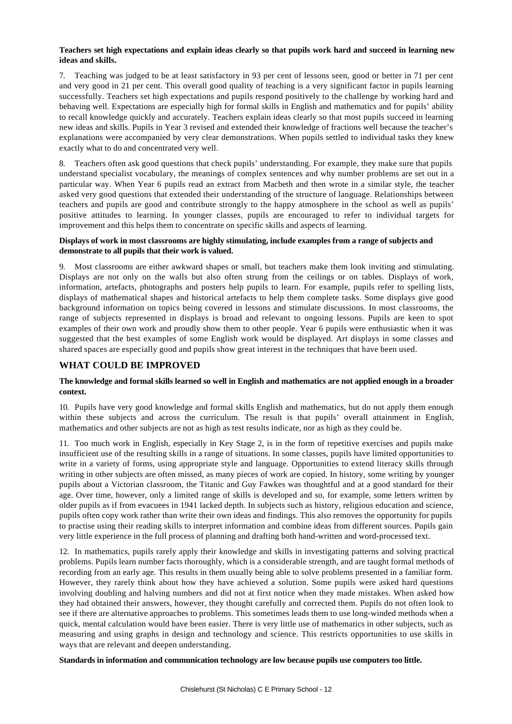#### **Teachers set high expectations and explain ideas clearly so that pupils work hard and succeed in learning new ideas and skills.**

7. Teaching was judged to be at least satisfactory in 93 per cent of lessons seen, good or better in 71 per cent and very good in 21 per cent. This overall good quality of teaching is a very significant factor in pupils learning successfully. Teachers set high expectations and pupils respond positively to the challenge by working hard and behaving well. Expectations are especially high for formal skills in English and mathematics and for pupils' ability to recall knowledge quickly and accurately. Teachers explain ideas clearly so that most pupils succeed in learning new ideas and skills. Pupils in Year 3 revised and extended their knowledge of fractions well because the teacher's explanations were accompanied by very clear demonstrations. When pupils settled to individual tasks they knew exactly what to do and concentrated very well.

Teachers often ask good questions that check pupils' understanding. For example, they make sure that pupils understand specialist vocabulary, the meanings of complex sentences and why number problems are set out in a particular way. When Year 6 pupils read an extract from Macbeth and then wrote in a similar style, the teacher asked very good questions that extended their understanding of the structure of language. Relationships between teachers and pupils are good and contribute strongly to the happy atmosphere in the school as well as pupils' positive attitudes to learning. In younger classes, pupils are encouraged to refer to individual targets for improvement and this helps them to concentrate on specific skills and aspects of learning.

#### **Displays of work in most classrooms are highly stimulating, include examples from a range of subjects and demonstrate to all pupils that their work is valued.**

9. Most classrooms are either awkward shapes or small, but teachers make them look inviting and stimulating. Displays are not only on the walls but also often strung from the ceilings or on tables. Displays of work, information, artefacts, photographs and posters help pupils to learn. For example, pupils refer to spelling lists, displays of mathematical shapes and historical artefacts to help them complete tasks. Some displays give good background information on topics being covered in lessons and stimulate discussions. In most classrooms, the range of subjects represented in displays is broad and relevant to ongoing lessons. Pupils are keen to spot examples of their own work and proudly show them to other people. Year 6 pupils were enthusiastic when it was suggested that the best examples of some English work would be displayed. Art displays in some classes and shared spaces are especially good and pupils show great interest in the techniques that have been used.

### **WHAT COULD BE IMPROVED**

#### **The knowledge and formal skills learned so well in English and mathematics are not applied enough in a broader context.**

10. Pupils have very good knowledge and formal skills English and mathematics, but do not apply them enough within these subjects and across the curriculum. The result is that pupils' overall attainment in English, mathematics and other subjects are not as high as test results indicate, nor as high as they could be.

11. Too much work in English, especially in Key Stage 2, is in the form of repetitive exercises and pupils make insufficient use of the resulting skills in a range of situations. In some classes, pupils have limited opportunities to write in a variety of forms, using appropriate style and language. Opportunities to extend literacy skills through writing in other subjects are often missed, as many pieces of work are copied. In history, some writing by younger pupils about a Victorian classroom, the Titanic and Guy Fawkes was thoughtful and at a good standard for their age. Over time, however, only a limited range of skills is developed and so, for example, some letters written by older pupils as if from evacuees in 1941 lacked depth. In subjects such as history, religious education and science, pupils often copy work rather than write their own ideas and findings. This also removes the opportunity for pupils to practise using their reading skills to interpret information and combine ideas from different sources. Pupils gain very little experience in the full process of planning and drafting both hand-written and word-processed text.

12. In mathematics, pupils rarely apply their knowledge and skills in investigating patterns and solving practical problems. Pupils learn number facts thoroughly, which is a considerable strength, and are taught formal methods of recording from an early age. This results in them usually being able to solve problems presented in a familiar form. However, they rarely think about how they have achieved a solution. Some pupils were asked hard questions involving doubling and halving numbers and did not at first notice when they made mistakes. When asked how they had obtained their answers, however, they thought carefully and corrected them. Pupils do not often look to see if there are alternative approaches to problems. This sometimes leads them to use long-winded methods when a quick, mental calculation would have been easier. There is very little use of mathematics in other subjects, such as measuring and using graphs in design and technology and science. This restricts opportunities to use skills in ways that are relevant and deepen understanding.

**Standards in information and communication technology are low because pupils use computers too little.**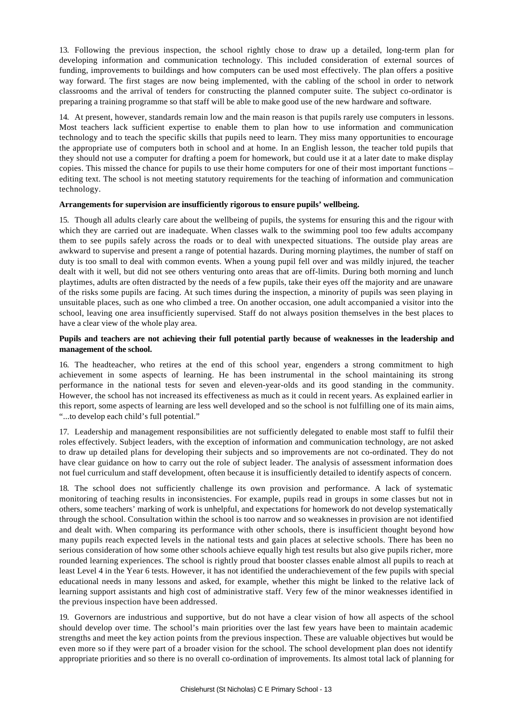13. Following the previous inspection, the school rightly chose to draw up a detailed, long-term plan for developing information and communication technology. This included consideration of external sources of funding, improvements to buildings and how computers can be used most effectively. The plan offers a positive way forward. The first stages are now being implemented, with the cabling of the school in order to network classrooms and the arrival of tenders for constructing the planned computer suite. The subject co-ordinator is preparing a training programme so that staff will be able to make good use of the new hardware and software.

14. At present, however, standards remain low and the main reason is that pupils rarely use computers in lessons. Most teachers lack sufficient expertise to enable them to plan how to use information and communication technology and to teach the specific skills that pupils need to learn. They miss many opportunities to encourage the appropriate use of computers both in school and at home. In an English lesson, the teacher told pupils that they should not use a computer for drafting a poem for homework, but could use it at a later date to make display copies. This missed the chance for pupils to use their home computers for one of their most important functions – editing text. The school is not meeting statutory requirements for the teaching of information and communication technology.

#### **Arrangements for supervision are insufficiently rigorous to ensure pupils' wellbeing.**

15. Though all adults clearly care about the wellbeing of pupils, the systems for ensuring this and the rigour with which they are carried out are inadequate. When classes walk to the swimming pool too few adults accompany them to see pupils safely across the roads or to deal with unexpected situations. The outside play areas are awkward to supervise and present a range of potential hazards. During morning playtimes, the number of staff on duty is too small to deal with common events. When a young pupil fell over and was mildly injured, the teacher dealt with it well, but did not see others venturing onto areas that are off-limits. During both morning and lunch playtimes, adults are often distracted by the needs of a few pupils, take their eyes off the majority and are unaware of the risks some pupils are facing. At such times during the inspection, a minority of pupils was seen playing in unsuitable places, such as one who climbed a tree. On another occasion, one adult accompanied a visitor into the school, leaving one area insufficiently supervised. Staff do not always position themselves in the best places to have a clear view of the whole play area.

#### **Pupils and teachers are not achieving their full potential partly because of weaknesses in the leadership and management of the school.**

16. The headteacher, who retires at the end of this school year, engenders a strong commitment to high achievement in some aspects of learning. He has been instrumental in the school maintaining its strong performance in the national tests for seven and eleven-year-olds and its good standing in the community. However, the school has not increased its effectiveness as much as it could in recent years. As explained earlier in this report, some aspects of learning are less well developed and so the school is not fulfilling one of its main aims, "...to develop each child's full potential."

17. Leadership and management responsibilities are not sufficiently delegated to enable most staff to fulfil their roles effectively. Subject leaders, with the exception of information and communication technology, are not asked to draw up detailed plans for developing their subjects and so improvements are not co-ordinated. They do not have clear guidance on how to carry out the role of subject leader. The analysis of assessment information does not fuel curriculum and staff development, often because it is insufficiently detailed to identify aspects of concern.

18. The school does not sufficiently challenge its own provision and performance. A lack of systematic monitoring of teaching results in inconsistencies. For example, pupils read in groups in some classes but not in others, some teachers' marking of work is unhelpful, and expectations for homework do not develop systematically through the school. Consultation within the school is too narrow and so weaknesses in provision are not identified and dealt with. When comparing its performance with other schools, there is insufficient thought beyond how many pupils reach expected levels in the national tests and gain places at selective schools. There has been no serious consideration of how some other schools achieve equally high test results but also give pupils richer, more rounded learning experiences. The school is rightly proud that booster classes enable almost all pupils to reach at least Level 4 in the Year 6 tests. However, it has not identified the underachievement of the few pupils with special educational needs in many lessons and asked, for example, whether this might be linked to the relative lack of learning support assistants and high cost of administrative staff. Very few of the minor weaknesses identified in the previous inspection have been addressed.

19. Governors are industrious and supportive, but do not have a clear vision of how all aspects of the school should develop over time. The school's main priorities over the last few years have been to maintain academic strengths and meet the key action points from the previous inspection. These are valuable objectives but would be even more so if they were part of a broader vision for the school. The school development plan does not identify appropriate priorities and so there is no overall co-ordination of improvements. Its almost total lack of planning for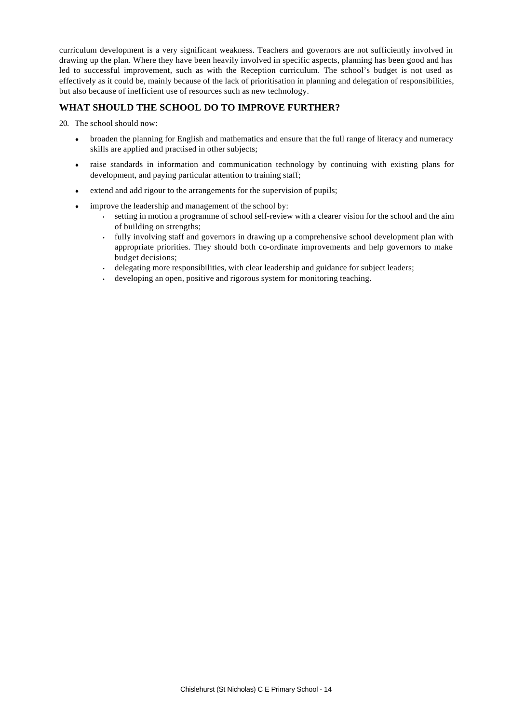curriculum development is a very significant weakness. Teachers and governors are not sufficiently involved in drawing up the plan. Where they have been heavily involved in specific aspects, planning has been good and has led to successful improvement, such as with the Reception curriculum. The school's budget is not used as effectively as it could be, mainly because of the lack of prioritisation in planning and delegation of responsibilities, but also because of inefficient use of resources such as new technology.

# **WHAT SHOULD THE SCHOOL DO TO IMPROVE FURTHER?**

20. The school should now:

- broaden the planning for English and mathematics and ensure that the full range of literacy and numeracy skills are applied and practised in other subjects;
- raise standards in information and communication technology by continuing with existing plans for development, and paying particular attention to training staff;
- extend and add rigour to the arrangements for the supervision of pupils;
- improve the leadership and management of the school by:
	- setting in motion a programme of school self-review with a clearer vision for the school and the aim of building on strengths;
	- fully involving staff and governors in drawing up a comprehensive school development plan with appropriate priorities. They should both co-ordinate improvements and help governors to make budget decisions;
	- delegating more responsibilities, with clear leadership and guidance for subject leaders;
	- developing an open, positive and rigorous system for monitoring teaching.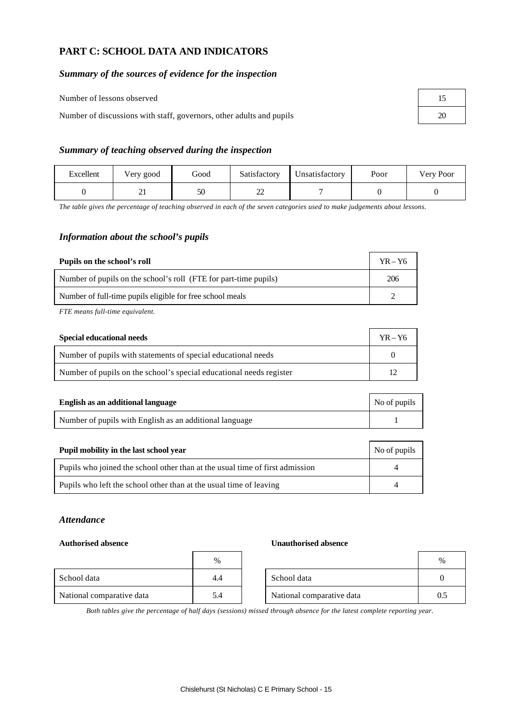# **PART C: SCHOOL DATA AND INDICATORS**

# *Summary of the sources of evidence for the inspection*

Number of lessons observed

Number of discussions with staff, governors, other adults and pupils

| 15 |  |
|----|--|
| 20 |  |

# *Summary of teaching observed during the inspection*

| Excellent | Very good | Good | Satisfactory | Unsatisfactory | Poor | Very Poor |
|-----------|-----------|------|--------------|----------------|------|-----------|
|           | ⊷         | 50   | ົ<br>⊷       |                |      |           |

*The table gives the percentage of teaching observed in each of the seven categories used to make judgements about lessons.*

# *Information about the school's pupils*

| Pupils on the school's roll                                      | $YR - Y6$ |
|------------------------------------------------------------------|-----------|
| Number of pupils on the school's roll (FTE for part-time pupils) | 206       |
| Number of full-time pupils eligible for free school meals        |           |

*FTE means full-time equivalent.*

| Special educational needs                                           | $YR - Y6$ |
|---------------------------------------------------------------------|-----------|
| Number of pupils with statements of special educational needs       |           |
| Number of pupils on the school's special educational needs register |           |

| English as an additional language                       | No of pupils |
|---------------------------------------------------------|--------------|
| Number of pupils with English as an additional language |              |

| Pupil mobility in the last school year                                       | No of pupils |
|------------------------------------------------------------------------------|--------------|
| Pupils who joined the school other than at the usual time of first admission |              |
| Pupils who left the school other than at the usual time of leaving           |              |

### *Attendance*

#### **Authorised absence Unauthorised absence**

|                           | $\%$ |                           | $\%$ |
|---------------------------|------|---------------------------|------|
| School data               | 4.4  | School data               |      |
| National comparative data | 5.4  | National comparative data | 0.2  |

*Both tables give the percentage of half days (sessions) missed through absence for the latest complete reporting year.*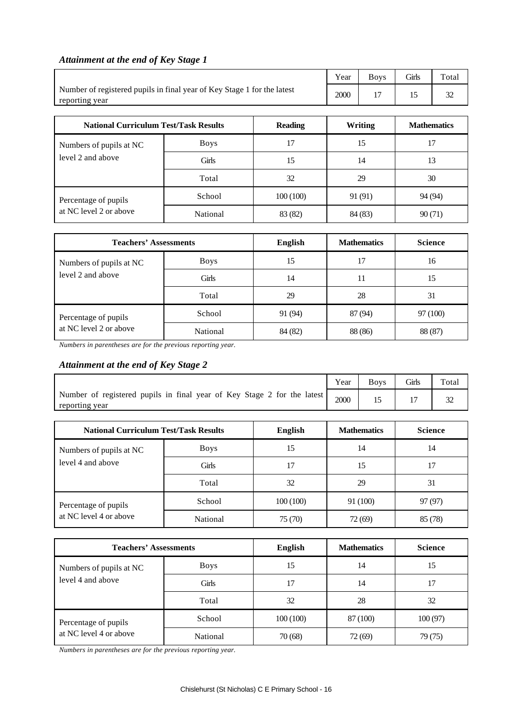# *Attainment at the end of Key Stage 1*

|                                                                                           | Year         | <b>Boys</b> | Girls              | Total   |         |    |    |  |
|-------------------------------------------------------------------------------------------|--------------|-------------|--------------------|---------|---------|----|----|--|
| Number of registered pupils in final year of Key Stage 1 for the latest<br>reporting year | 2000         | 17          | 15                 | 32      |         |    |    |  |
|                                                                                           |              |             |                    |         |         |    |    |  |
| <b>National Curriculum Test/Task Results</b>                                              |              | Writing     | <b>Mathematics</b> |         |         |    |    |  |
| Numbers of pupils at NC                                                                   | <b>Boys</b>  | 17          | 15                 |         |         |    | 17 |  |
| level 2 and above                                                                         | <b>Girls</b> | 15          |                    | 14      |         | 13 |    |  |
|                                                                                           | Total        | 32          | 29                 |         | 30      |    |    |  |
| Percentage of pupils                                                                      | School       | 100(100)    | 91 (91)            |         | 94 (94) |    |    |  |
| at NC level 2 or above                                                                    | National     | 83 (82)     |                    | 84 (83) | 90(71)  |    |    |  |

| <b>Teachers' Assessments</b>                 | <b>English</b> | <b>Mathematics</b> | <b>Science</b> |          |
|----------------------------------------------|----------------|--------------------|----------------|----------|
| Numbers of pupils at NC<br>level 2 and above | <b>Boys</b>    | 15                 | 17             | 16       |
|                                              | Girls          | 14                 | 11             | 15       |
|                                              | Total          | 29                 | 28             | 31       |
| Percentage of pupils                         | School         | 91 (94)            | 87 (94)        | 97 (100) |
| at NC level 2 or above                       | National       | 84 (82)            | 88 (86)        | 88 (87)  |

*Numbers in parentheses are for the previous reporting year.*

# *Attainment at the end of Key Stage 2*

|                                                                                           | Year           | <b>Boys</b>        | Girls          | Total  |         |  |
|-------------------------------------------------------------------------------------------|----------------|--------------------|----------------|--------|---------|--|
| Number of registered pupils in final year of Key Stage 2 for the latest<br>reporting year | 2000           | 15                 | 17             | 32     |         |  |
|                                                                                           | <b>English</b> |                    |                |        |         |  |
| <b>National Curriculum Test/Task Results</b>                                              |                | <b>Mathematics</b> | <b>Science</b> |        |         |  |
| Numbers of pupils at NC                                                                   | <b>Boys</b>    | 15                 | 14             |        | 14      |  |
| level 4 and above                                                                         | Girls          | 17                 | 15             |        | 17      |  |
|                                                                                           | 32             | 29                 |                | 31     |         |  |
| Percentage of pupils                                                                      | School         | 100(100)           | 91 (100)       |        | 97 (97) |  |
| at NC level 4 or above                                                                    | National       | 75 (70)            |                | 72(69) | 85 (78) |  |

| <b>Teachers' Assessments</b>                   |             | English  | <b>Mathematics</b> | <b>Science</b> |
|------------------------------------------------|-------------|----------|--------------------|----------------|
| Numbers of pupils at NC<br>level 4 and above   | <b>Boys</b> | 15       | 14                 | 15             |
|                                                | Girls       | 17       | 14                 | 17             |
|                                                | Total       | 32       | 28                 | 32             |
| Percentage of pupils<br>at NC level 4 or above | School      | 100(100) | 87 (100)           | 100(97)        |
|                                                | National    | 70(68)   | 72 (69)            | 79 (75)        |

*Numbers in parentheses are for the previous reporting year.*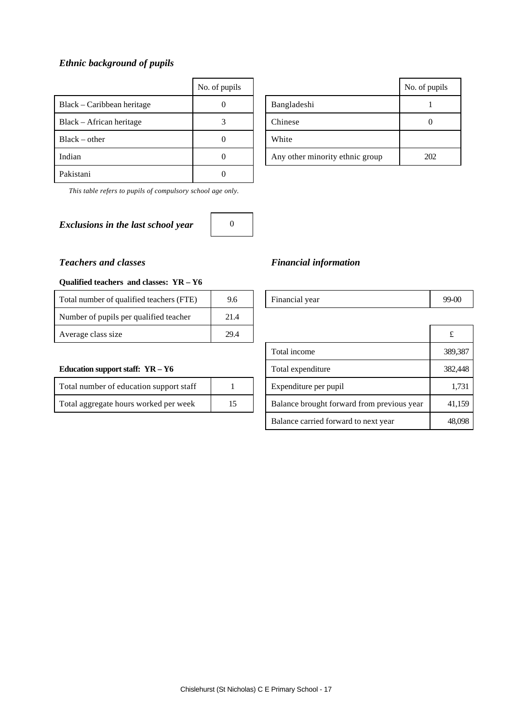# *Ethnic background of pupils*

|                            | No. of pupils |                                 | No. of pu |
|----------------------------|---------------|---------------------------------|-----------|
| Black – Caribbean heritage | 0             | Bangladeshi                     |           |
| Black – African heritage   |               | Chinese                         | $\theta$  |
| $Black - other$            | 0             | White                           |           |
| Indian                     | 0             | Any other minority ethnic group | 202       |
| Pakistani                  | 0             |                                 |           |

*This table refers to pupils of compulsory school age only.*

# *Exclusions in the last school year* 0



| No. of pupils |                                 | No. of pupils |
|---------------|---------------------------------|---------------|
|               | Bangladeshi                     |               |
|               | Chinese                         |               |
|               | White                           |               |
|               | Any other minority ethnic group | 202           |

# *Teachers and classes Financial information*

# Financial year 99-00 Total income 389,387 **Education support staff: YR – Y6** Total expenditure 382,448 Expenditure per pupil 1,731 Balance brought forward from previous year 41,159 Balance carried forward to next year 48,098

#### **Qualified teachers and classes: YR – Y6**

| Total number of qualified teachers (FTE) | 9.6  | Financial year | 99- |
|------------------------------------------|------|----------------|-----|
| Number of pupils per qualified teacher   | 21.4 |                |     |
| Average class size                       | 29.4 |                |     |

| Total number of education support staff |    |
|-----------------------------------------|----|
| Total aggregate hours worked per week   | 15 |